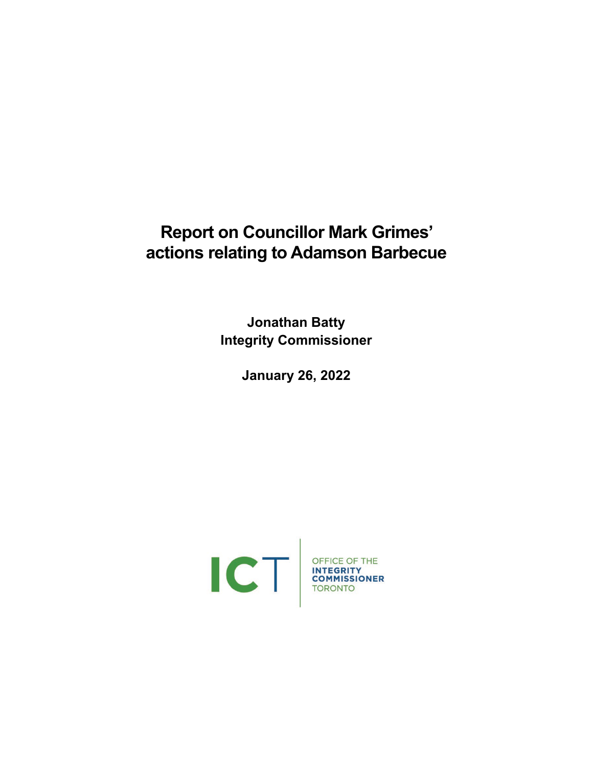# **Report on Councillor Mark Grimes' actions relating to Adamson Barbecue**

**Jonathan Batty Integrity Commissioner**

**January 26, 2022**

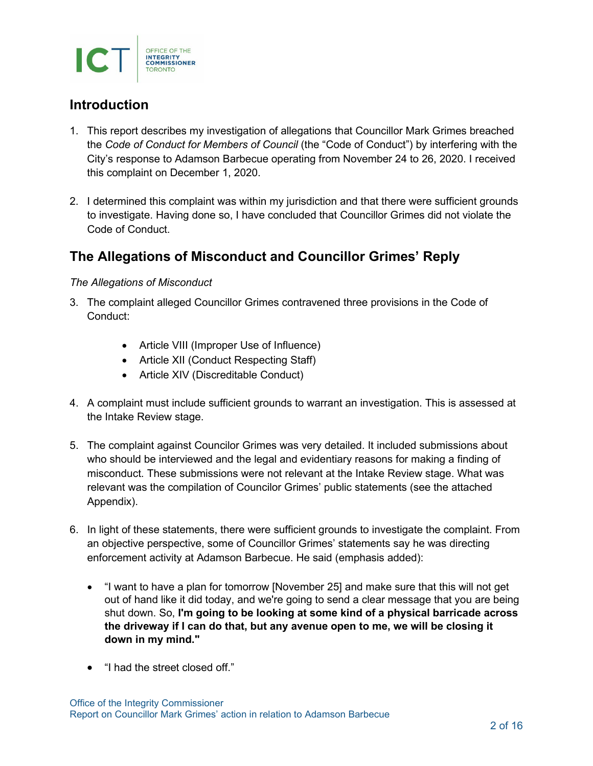

### **Introduction**

- 1. This report describes my investigation of allegations that Councillor Mark Grimes breached the *Code of Conduct for Members of Council* (the "Code of Conduct") by interfering with the City's response to Adamson Barbecue operating from November 24 to 26, 2020. I received this complaint on December 1, 2020.
- 2. I determined this complaint was within my jurisdiction and that there were sufficient grounds to investigate. Having done so, I have concluded that Councillor Grimes did not violate the Code of Conduct.

### **The Allegations of Misconduct and Councillor Grimes' Reply**

#### *The Allegations of Misconduct*

- 3. The complaint alleged Councillor Grimes contravened three provisions in the Code of Conduct:
	- Article VIII (Improper Use of Influence)
	- Article XII (Conduct Respecting Staff)
	- Article XIV (Discreditable Conduct)
- 4. A complaint must include sufficient grounds to warrant an investigation. This is assessed at the Intake Review stage.
- 5. The complaint against Councilor Grimes was very detailed. It included submissions about who should be interviewed and the legal and evidentiary reasons for making a finding of misconduct. These submissions were not relevant at the Intake Review stage. What was relevant was the compilation of Councilor Grimes' public statements (see the attached Appendix).
- 6. In light of these statements, there were sufficient grounds to investigate the complaint. From an objective perspective, some of Councillor Grimes' statements say he was directing enforcement activity at Adamson Barbecue. He said (emphasis added):
	- "I want to have a plan for tomorrow [November 25] and make sure that this will not get out of hand like it did today, and we're going to send a clear message that you are being shut down. So, **I'm going to be looking at some kind of a physical barricade across the driveway if I can do that, but any avenue open to me, we will be closing it down in my mind."**
	- "I had the street closed off."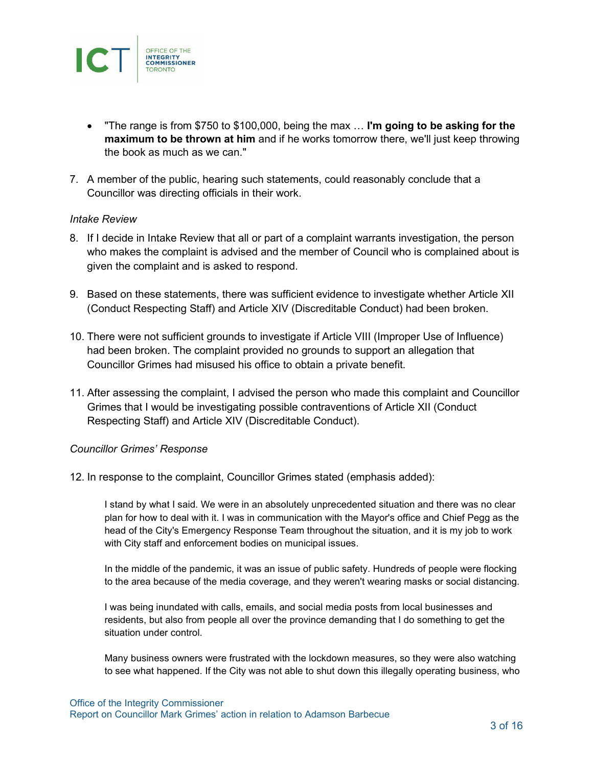

- "The range is from \$750 to \$100,000, being the max … **I'm going to be asking for the maximum to be thrown at him** and if he works tomorrow there, we'll just keep throwing the book as much as we can."
- 7. A member of the public, hearing such statements, could reasonably conclude that a Councillor was directing officials in their work.

#### *Intake Review*

- 8. If I decide in Intake Review that all or part of a complaint warrants investigation, the person who makes the complaint is advised and the member of Council who is complained about is given the complaint and is asked to respond.
- 9. Based on these statements, there was sufficient evidence to investigate whether Article XII (Conduct Respecting Staff) and Article XIV (Discreditable Conduct) had been broken.
- 10. There were not sufficient grounds to investigate if Article VIII (Improper Use of Influence) had been broken. The complaint provided no grounds to support an allegation that Councillor Grimes had misused his office to obtain a private benefit.
- 11. After assessing the complaint, I advised the person who made this complaint and Councillor Grimes that I would be investigating possible contraventions of Article XII (Conduct Respecting Staff) and Article XIV (Discreditable Conduct).

#### *Councillor Grimes' Response*

12. In response to the complaint, Councillor Grimes stated (emphasis added):

I stand by what I said. We were in an absolutely unprecedented situation and there was no clear plan for how to deal with it. I was in communication with the Mayor's office and Chief Pegg as the head of the City's Emergency Response Team throughout the situation, and it is my job to work with City staff and enforcement bodies on municipal issues.

In the middle of the pandemic, it was an issue of public safety. Hundreds of people were flocking to the area because of the media coverage, and they weren't wearing masks or social distancing.

I was being inundated with calls, emails, and social media posts from local businesses and residents, but also from people all over the province demanding that I do something to get the situation under control.

Many business owners were frustrated with the lockdown measures, so they were also watching to see what happened. If the City was not able to shut down this illegally operating business, who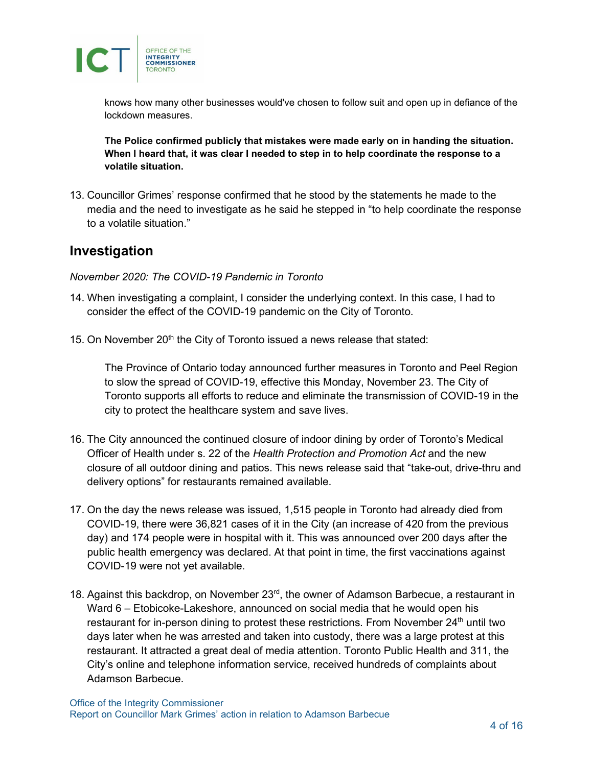

knows how many other businesses would've chosen to follow suit and open up in defiance of the lockdown measures.

**The Police confirmed publicly that mistakes were made early on in handing the situation. When I heard that, it was clear I needed to step in to help coordinate the response to a volatile situation.**

13. Councillor Grimes' response confirmed that he stood by the statements he made to the media and the need to investigate as he said he stepped in "to help coordinate the response to a volatile situation."

### **Investigation**

*November 2020: The COVID-19 Pandemic in Toronto*

- 14. When investigating a complaint, I consider the underlying context. In this case, I had to consider the effect of the COVID-19 pandemic on the City of Toronto.
- 15. On November 20<sup>th</sup> the City of Toronto issued a news release that stated:

The Province of Ontario today announced further measures in Toronto and Peel Region to slow the spread of COVID-19, effective this Monday, November 23. The City of Toronto supports all efforts to reduce and eliminate the transmission of COVID-19 in the city to protect the healthcare system and save lives.

- 16. The City announced the continued closure of indoor dining by order of Toronto's Medical Officer of Health under s. 22 of the *Health Protection and Promotion Act* and the new closure of all outdoor dining and patios. This news release said that "take-out, drive-thru and delivery options" for restaurants remained available.
- 17. On the day the news release was issued, 1,515 people in Toronto had already died from COVID-19, there were 36,821 cases of it in the City (an increase of 420 from the previous day) and 174 people were in hospital with it. This was announced over 200 days after the public health emergency was declared. At that point in time, the first vaccinations against COVID-19 were not yet available.
- 18. Against this backdrop, on November 23<sup>rd</sup>, the owner of Adamson Barbecue, a restaurant in Ward 6 – Etobicoke-Lakeshore, announced on social media that he would open his restaurant for in-person dining to protest these restrictions. From November 24<sup>th</sup> until two days later when he was arrested and taken into custody, there was a large protest at this restaurant. It attracted a great deal of media attention. Toronto Public Health and 311, the City's online and telephone information service, received hundreds of complaints about Adamson Barbecue.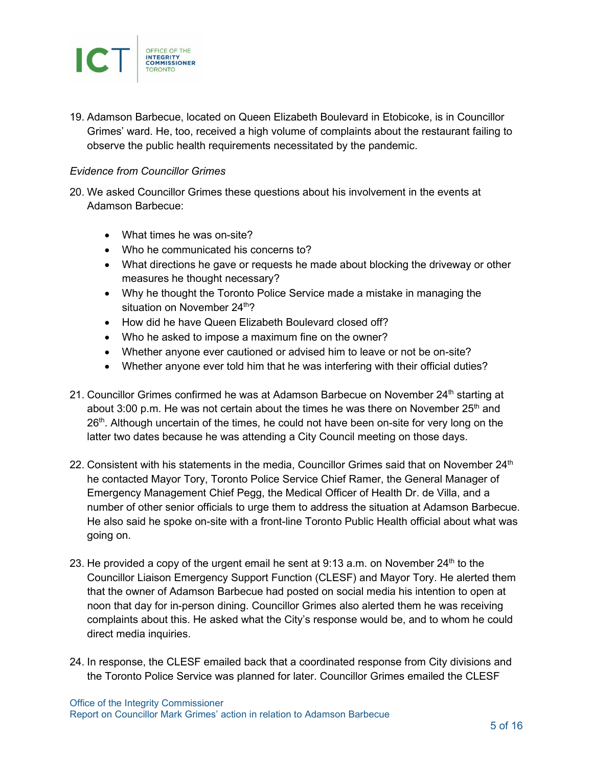

19. Adamson Barbecue, located on Queen Elizabeth Boulevard in Etobicoke, is in Councillor Grimes' ward. He, too, received a high volume of complaints about the restaurant failing to observe the public health requirements necessitated by the pandemic.

#### *Evidence from Councillor Grimes*

- 20. We asked Councillor Grimes these questions about his involvement in the events at Adamson Barbecue:
	- What times he was on-site?
	- Who he communicated his concerns to?
	- What directions he gave or requests he made about blocking the driveway or other measures he thought necessary?
	- Why he thought the Toronto Police Service made a mistake in managing the situation on November  $24<sup>th</sup>$ ?
	- How did he have Queen Elizabeth Boulevard closed off?
	- Who he asked to impose a maximum fine on the owner?
	- Whether anyone ever cautioned or advised him to leave or not be on-site?
	- Whether anyone ever told him that he was interfering with their official duties?
- 21. Councillor Grimes confirmed he was at Adamson Barbecue on November 24<sup>th</sup> starting at about 3:00 p.m. He was not certain about the times he was there on November 25<sup>th</sup> and 26<sup>th</sup>. Although uncertain of the times, he could not have been on-site for very long on the latter two dates because he was attending a City Council meeting on those days.
- 22. Consistent with his statements in the media, Councillor Grimes said that on November  $24<sup>th</sup>$ he contacted Mayor Tory, Toronto Police Service Chief Ramer, the General Manager of Emergency Management Chief Pegg, the Medical Officer of Health Dr. de Villa, and a number of other senior officials to urge them to address the situation at Adamson Barbecue. He also said he spoke on-site with a front-line Toronto Public Health official about what was going on.
- 23. He provided a copy of the urgent email he sent at  $9:13$  a.m. on November  $24<sup>th</sup>$  to the Councillor Liaison Emergency Support Function (CLESF) and Mayor Tory. He alerted them that the owner of Adamson Barbecue had posted on social media his intention to open at noon that day for in-person dining. Councillor Grimes also alerted them he was receiving complaints about this. He asked what the City's response would be, and to whom he could direct media inquiries.
- 24. In response, the CLESF emailed back that a coordinated response from City divisions and the Toronto Police Service was planned for later. Councillor Grimes emailed the CLESF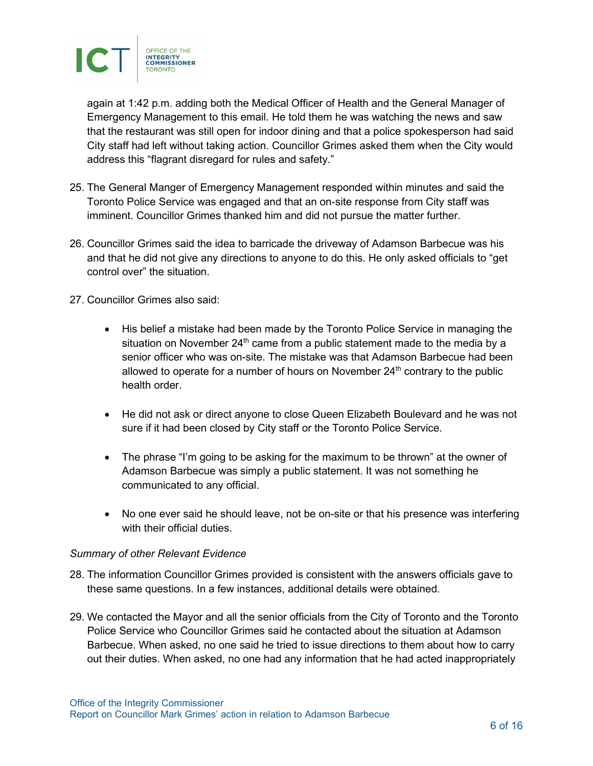

again at 1:42 p.m. adding both the Medical Officer of Health and the General Manager of Emergency Management to this email. He told them he was watching the news and saw that the restaurant was still open for indoor dining and that a police spokesperson had said City staff had left without taking action. Councillor Grimes asked them when the City would address this "flagrant disregard for rules and safety."

- 25. The General Manger of Emergency Management responded within minutes and said the Toronto Police Service was engaged and that an on-site response from City staff was imminent. Councillor Grimes thanked him and did not pursue the matter further.
- 26. Councillor Grimes said the idea to barricade the driveway of Adamson Barbecue was his and that he did not give any directions to anyone to do this. He only asked officials to "get control over" the situation.
- 27. Councillor Grimes also said:
	- His belief a mistake had been made by the Toronto Police Service in managing the situation on November  $24<sup>th</sup>$  came from a public statement made to the media by a senior officer who was on-site. The mistake was that Adamson Barbecue had been allowed to operate for a number of hours on November  $24<sup>th</sup>$  contrary to the public health order.
	- He did not ask or direct anyone to close Queen Elizabeth Boulevard and he was not sure if it had been closed by City staff or the Toronto Police Service.
	- The phrase "I'm going to be asking for the maximum to be thrown" at the owner of Adamson Barbecue was simply a public statement. It was not something he communicated to any official.
	- No one ever said he should leave, not be on-site or that his presence was interfering with their official duties.

#### *Summary of other Relevant Evidence*

- 28. The information Councillor Grimes provided is consistent with the answers officials gave to these same questions. In a few instances, additional details were obtained.
- 29. We contacted the Mayor and all the senior officials from the City of Toronto and the Toronto Police Service who Councillor Grimes said he contacted about the situation at Adamson Barbecue. When asked, no one said he tried to issue directions to them about how to carry out their duties. When asked, no one had any information that he had acted inappropriately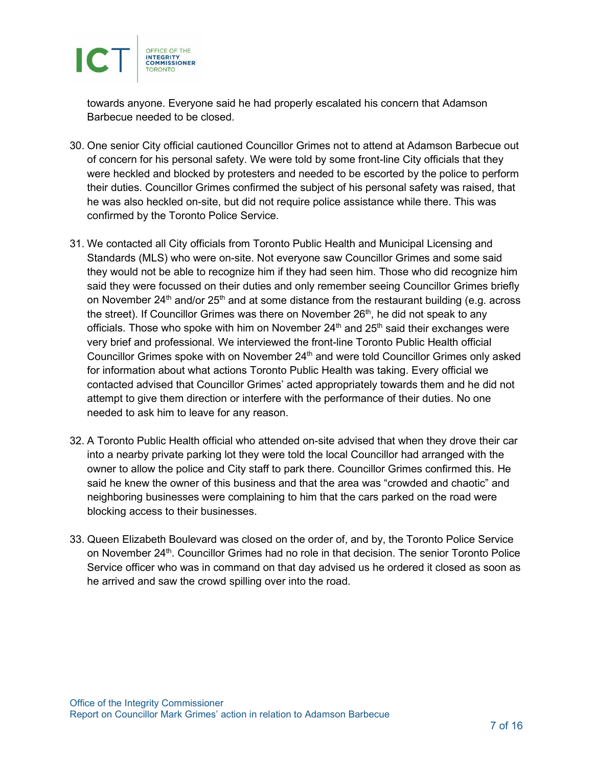

towards anyone. Everyone said he had properly escalated his concern that Adamson Barbecue needed to be closed.

- 30. One senior City official cautioned Councillor Grimes not to attend at Adamson Barbecue out of concern for his personal safety. We were told by some front-line City officials that they were heckled and blocked by protesters and needed to be escorted by the police to perform their duties. Councillor Grimes confirmed the subject of his personal safety was raised, that he was also heckled on-site, but did not require police assistance while there. This was confirmed by the Toronto Police Service.
- 31. We contacted all City officials from Toronto Public Health and Municipal Licensing and Standards (MLS) who were on-site. Not everyone saw Councillor Grimes and some said they would not be able to recognize him if they had seen him. Those who did recognize him said they were focussed on their duties and only remember seeing Councillor Grimes briefly on November 24<sup>th</sup> and/or 25<sup>th</sup> and at some distance from the restaurant building (e.g. across the street). If Councillor Grimes was there on November  $26<sup>th</sup>$ , he did not speak to any officials. Those who spoke with him on November  $24<sup>th</sup>$  and  $25<sup>th</sup>$  said their exchanges were very brief and professional. We interviewed the front-line Toronto Public Health official Councillor Grimes spoke with on November  $24<sup>th</sup>$  and were told Councillor Grimes only asked for information about what actions Toronto Public Health was taking. Every official we contacted advised that Councillor Grimes' acted appropriately towards them and he did not attempt to give them direction or interfere with the performance of their duties. No one needed to ask him to leave for any reason.
- 32. A Toronto Public Health official who attended on-site advised that when they drove their car into a nearby private parking lot they were told the local Councillor had arranged with the owner to allow the police and City staff to park there. Councillor Grimes confirmed this. He said he knew the owner of this business and that the area was "crowded and chaotic" and neighboring businesses were complaining to him that the cars parked on the road were blocking access to their businesses.
- 33. Queen Elizabeth Boulevard was closed on the order of, and by, the Toronto Police Service on November 24<sup>th</sup>. Councillor Grimes had no role in that decision. The senior Toronto Police Service officer who was in command on that day advised us he ordered it closed as soon as he arrived and saw the crowd spilling over into the road.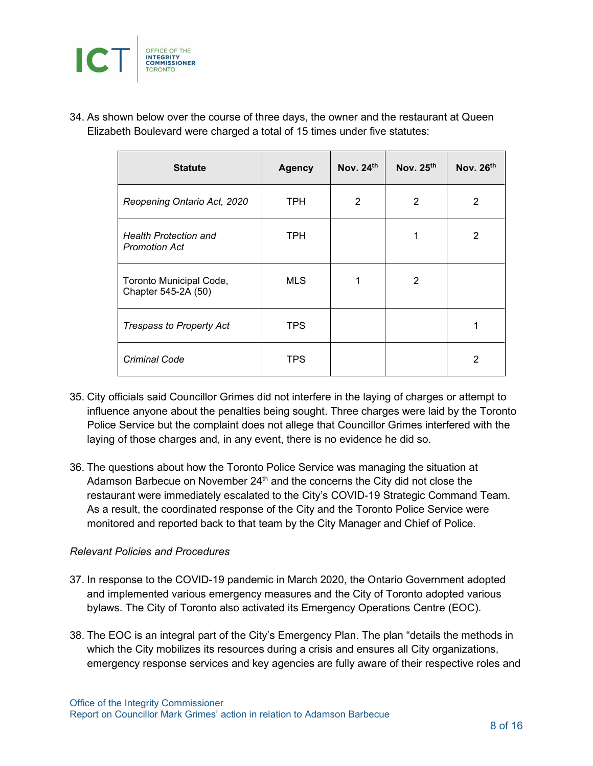

34. As shown below over the course of three days, the owner and the restaurant at Queen Elizabeth Boulevard were charged a total of 15 times under five statutes:

| <b>Statute</b>                                       | <b>Agency</b> | Nov. $24th$ | Nov. $25th$    | Nov. $26th$    |
|------------------------------------------------------|---------------|-------------|----------------|----------------|
| Reopening Ontario Act, 2020                          | TPH           | 2           | 2              | 2              |
| <b>Health Protection and</b><br><b>Promotion Act</b> | <b>TPH</b>    |             | 1              | $\overline{2}$ |
| Toronto Municipal Code,<br>Chapter 545-2A (50)       | <b>MLS</b>    | 1           | $\overline{2}$ |                |
| <b>Trespass to Property Act</b>                      | <b>TPS</b>    |             |                |                |
| Criminal Code                                        | <b>TPS</b>    |             |                | 2              |

- 35. City officials said Councillor Grimes did not interfere in the laying of charges or attempt to influence anyone about the penalties being sought. Three charges were laid by the Toronto Police Service but the complaint does not allege that Councillor Grimes interfered with the laying of those charges and, in any event, there is no evidence he did so.
- 36. The questions about how the Toronto Police Service was managing the situation at Adamson Barbecue on November  $24<sup>th</sup>$  and the concerns the City did not close the restaurant were immediately escalated to the City's COVID-19 Strategic Command Team. As a result, the coordinated response of the City and the Toronto Police Service were monitored and reported back to that team by the City Manager and Chief of Police.

#### *Relevant Policies and Procedures*

- 37. In response to the COVID-19 pandemic in March 2020, the Ontario Government adopted and implemented various emergency measures and the City of Toronto adopted various bylaws. The City of Toronto also activated its Emergency Operations Centre (EOC).
- 38. The EOC is an integral part of the City's Emergency Plan. The plan "details the methods in which the City mobilizes its resources during a crisis and ensures all City organizations, emergency response services and key agencies are fully aware of their respective roles and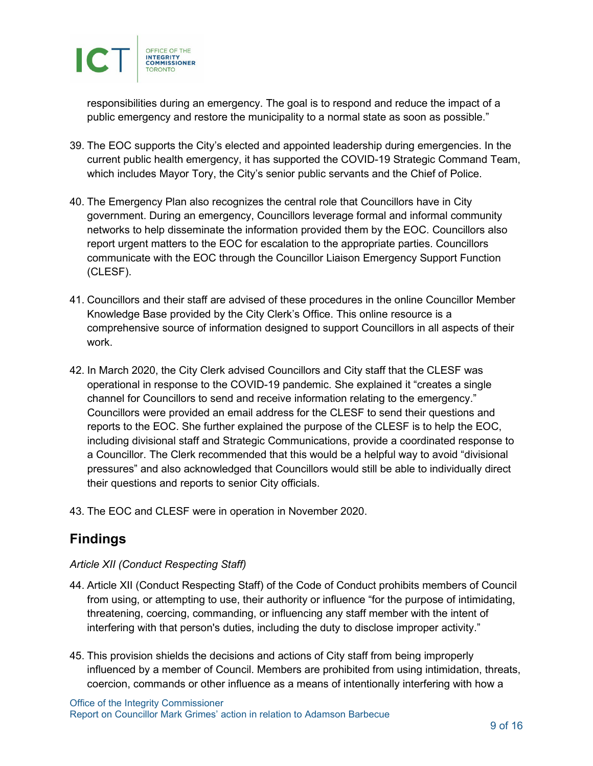

responsibilities during an emergency. The goal is to respond and reduce the impact of a public emergency and restore the municipality to a normal state as soon as possible."

- 39. The EOC supports the City's elected and appointed leadership during emergencies. In the current public health emergency, it has supported the COVID-19 Strategic Command Team, which includes Mayor Tory, the City's senior public servants and the Chief of Police.
- 40. The Emergency Plan also recognizes the central role that Councillors have in City government. During an emergency, Councillors leverage formal and informal community networks to help disseminate the information provided them by the EOC. Councillors also report urgent matters to the EOC for escalation to the appropriate parties. Councillors communicate with the EOC through the Councillor Liaison Emergency Support Function (CLESF).
- 41. Councillors and their staff are advised of these procedures in the online Councillor Member Knowledge Base provided by the City Clerk's Office. This online resource is a comprehensive source of information designed to support Councillors in all aspects of their work.
- 42. In March 2020, the City Clerk advised Councillors and City staff that the CLESF was operational in response to the COVID-19 pandemic. She explained it "creates a single channel for Councillors to send and receive information relating to the emergency." Councillors were provided an email address for the CLESF to send their questions and reports to the EOC. She further explained the purpose of the CLESF is to help the EOC, including divisional staff and Strategic Communications, provide a coordinated response to a Councillor. The Clerk recommended that this would be a helpful way to avoid "divisional pressures" and also acknowledged that Councillors would still be able to individually direct their questions and reports to senior City officials.
- 43. The EOC and CLESF were in operation in November 2020.

### **Findings**

### *Article XII (Conduct Respecting Staff)*

- 44. Article XII (Conduct Respecting Staff) of the Code of Conduct prohibits members of Council from using, or attempting to use, their authority or influence "for the purpose of intimidating, threatening, coercing, commanding, or influencing any staff member with the intent of interfering with that person's duties, including the duty to disclose improper activity."
- 45. This provision shields the decisions and actions of City staff from being improperly influenced by a member of Council. Members are prohibited from using intimidation, threats, coercion, commands or other influence as a means of intentionally interfering with how a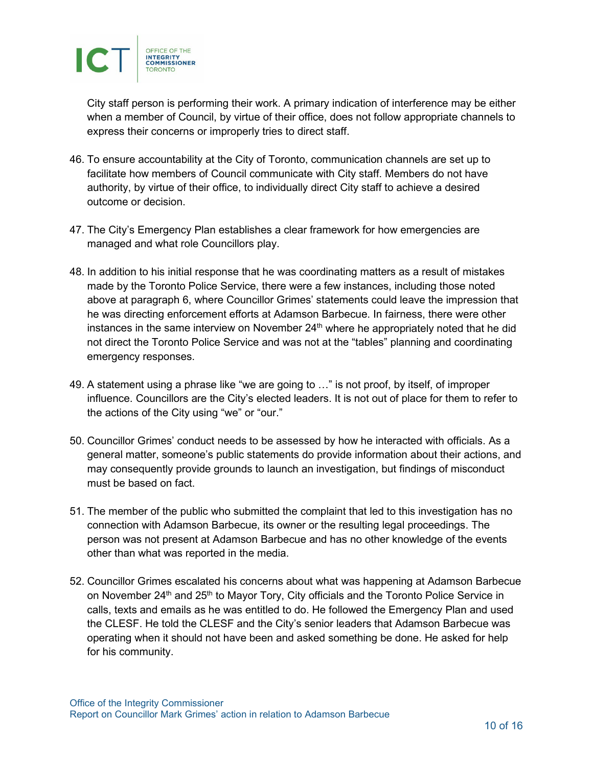

City staff person is performing their work. A primary indication of interference may be either when a member of Council, by virtue of their office, does not follow appropriate channels to express their concerns or improperly tries to direct staff.

- 46. To ensure accountability at the City of Toronto, communication channels are set up to facilitate how members of Council communicate with City staff. Members do not have authority, by virtue of their office, to individually direct City staff to achieve a desired outcome or decision.
- 47. The City's Emergency Plan establishes a clear framework for how emergencies are managed and what role Councillors play.
- 48. In addition to his initial response that he was coordinating matters as a result of mistakes made by the Toronto Police Service, there were a few instances, including those noted above at paragraph 6, where Councillor Grimes' statements could leave the impression that he was directing enforcement efforts at Adamson Barbecue. In fairness, there were other instances in the same interview on November 24<sup>th</sup> where he appropriately noted that he did not direct the Toronto Police Service and was not at the "tables" planning and coordinating emergency responses.
- 49. A statement using a phrase like "we are going to …" is not proof, by itself, of improper influence. Councillors are the City's elected leaders. It is not out of place for them to refer to the actions of the City using "we" or "our."
- 50. Councillor Grimes' conduct needs to be assessed by how he interacted with officials. As a general matter, someone's public statements do provide information about their actions, and may consequently provide grounds to launch an investigation, but findings of misconduct must be based on fact.
- 51. The member of the public who submitted the complaint that led to this investigation has no connection with Adamson Barbecue, its owner or the resulting legal proceedings. The person was not present at Adamson Barbecue and has no other knowledge of the events other than what was reported in the media.
- 52. Councillor Grimes escalated his concerns about what was happening at Adamson Barbecue on November 24<sup>th</sup> and 25<sup>th</sup> to Mayor Tory, City officials and the Toronto Police Service in calls, texts and emails as he was entitled to do. He followed the Emergency Plan and used the CLESF. He told the CLESF and the City's senior leaders that Adamson Barbecue was operating when it should not have been and asked something be done. He asked for help for his community.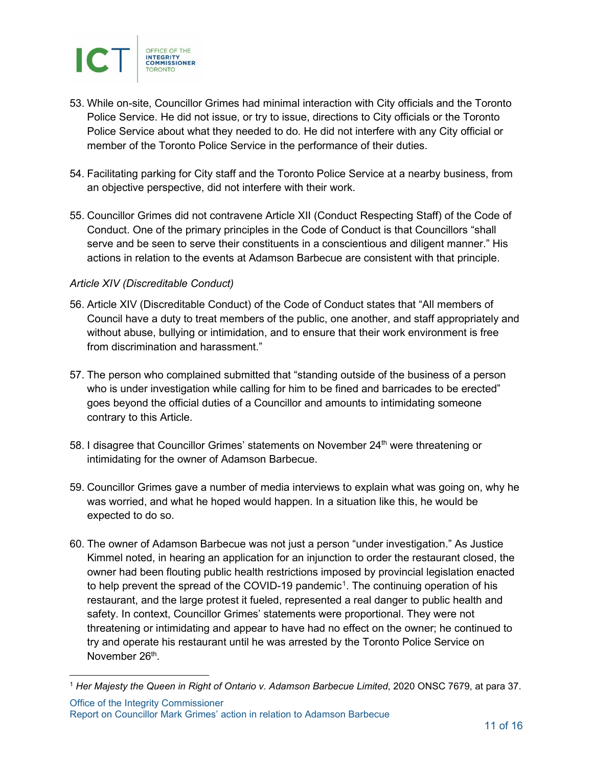

- 53. While on-site, Councillor Grimes had minimal interaction with City officials and the Toronto Police Service. He did not issue, or try to issue, directions to City officials or the Toronto Police Service about what they needed to do. He did not interfere with any City official or member of the Toronto Police Service in the performance of their duties.
- 54. Facilitating parking for City staff and the Toronto Police Service at a nearby business, from an objective perspective, did not interfere with their work.
- 55. Councillor Grimes did not contravene Article XII (Conduct Respecting Staff) of the Code of Conduct. One of the primary principles in the Code of Conduct is that Councillors "shall serve and be seen to serve their constituents in a conscientious and diligent manner." His actions in relation to the events at Adamson Barbecue are consistent with that principle.

#### *Article XIV (Discreditable Conduct)*

- 56. Article XIV (Discreditable Conduct) of the Code of Conduct states that "All members of Council have a duty to treat members of the public, one another, and staff appropriately and without abuse, bullying or intimidation, and to ensure that their work environment is free from discrimination and harassment."
- 57. The person who complained submitted that "standing outside of the business of a person who is under investigation while calling for him to be fined and barricades to be erected" goes beyond the official duties of a Councillor and amounts to intimidating someone contrary to this Article.
- 58. I disagree that Councillor Grimes' statements on November 24<sup>th</sup> were threatening or intimidating for the owner of Adamson Barbecue.
- 59. Councillor Grimes gave a number of media interviews to explain what was going on, why he was worried, and what he hoped would happen. In a situation like this, he would be expected to do so.
- 60. The owner of Adamson Barbecue was not just a person "under investigation." As Justice Kimmel noted, in hearing an application for an injunction to order the restaurant closed, the owner had been flouting public health restrictions imposed by provincial legislation enacted to help prevent the spread of the COVID-19 pandemic<sup>1</sup>. The continuing operation of his restaurant, and the large protest it fueled, represented a real danger to public health and safety. In context, Councillor Grimes' statements were proportional. They were not threatening or intimidating and appear to have had no effect on the owner; he continued to try and operate his restaurant until he was arrested by the Toronto Police Service on November 26<sup>th</sup>.

<sup>1</sup> *Her Majesty the Queen in Right of Ontario v. Adamson Barbecue Limited*, 2020 ONSC 7679, at para 37.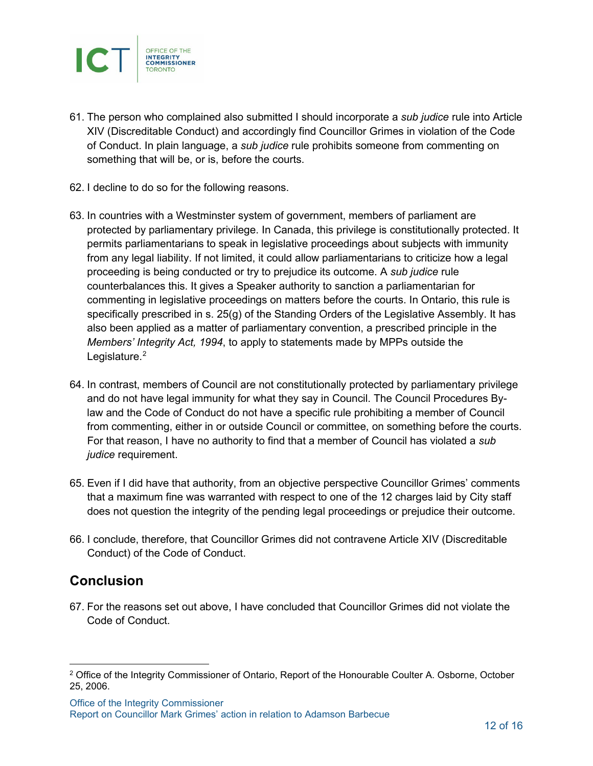

- 61. The person who complained also submitted I should incorporate a *sub judice* rule into Article XIV (Discreditable Conduct) and accordingly find Councillor Grimes in violation of the Code of Conduct. In plain language, a *sub judice* rule prohibits someone from commenting on something that will be, or is, before the courts.
- 62. I decline to do so for the following reasons.
- 63. In countries with a Westminster system of government, members of parliament are protected by parliamentary privilege. In Canada, this privilege is constitutionally protected. It permits parliamentarians to speak in legislative proceedings about subjects with immunity from any legal liability. If not limited, it could allow parliamentarians to criticize how a legal proceeding is being conducted or try to prejudice its outcome. A *sub judice* rule counterbalances this. It gives a Speaker authority to sanction a parliamentarian for commenting in legislative proceedings on matters before the courts. In Ontario, this rule is specifically prescribed in s. 25(g) of the Standing Orders of the Legislative Assembly. It has also been applied as a matter of parliamentary convention, a prescribed principle in the *Members' Integrity Act, 1994*, to apply to statements made by MPPs outside the Legislature. [2](#page-11-0)
- <span id="page-11-1"></span>64. In contrast, members of Council are not constitutionally protected by parliamentary privilege and do not have legal immunity for what they say in Council. The Council Procedures Bylaw and the Code of Conduct do not have a specific rule prohibiting a member of Council from commenting, either in or outside Council or committee, on something before the courts. For that reason, I have no authority to find that a member of Council has violated a *sub judice* requirement.
- 65. Even if I did have that authority, from an objective perspective Councillor Grimes' comments that a maximum fine was warranted with respect to one of the 12 charges laid by City staff does not question the integrity of the pending legal proceedings or prejudice their outcome.
- 66. I conclude, therefore, that Councillor Grimes did not contravene Article XIV (Discreditable Conduct) of the Code of Conduct.

### **Conclusion**

67. For the reasons set out above, I have concluded that Councillor Grimes did not violate the Code of Conduct.

<span id="page-11-0"></span><sup>&</sup>lt;sup>[2](#page-11-1)</sup> Office of the Integrity Commissioner of Ontario, Report of the Honourable Coulter A. Osborne, October 25, 2006.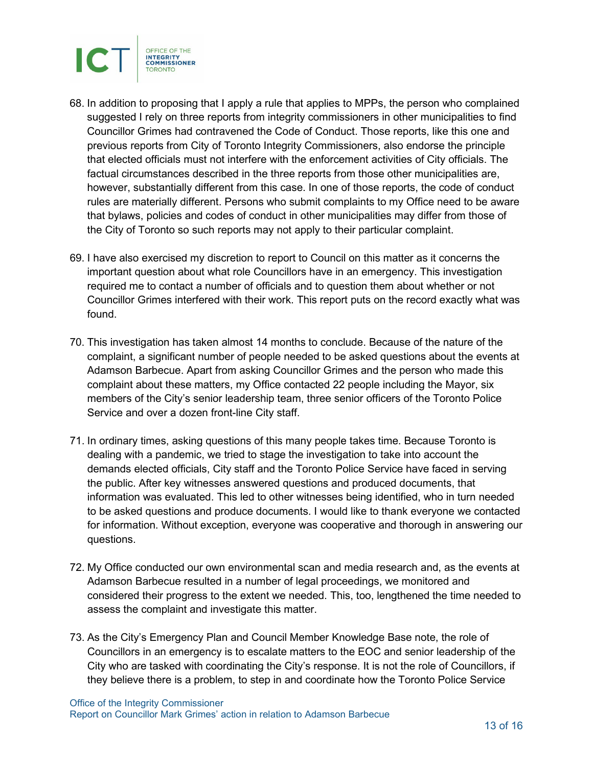

- 68. In addition to proposing that I apply a rule that applies to MPPs, the person who complained suggested I rely on three reports from integrity commissioners in other municipalities to find Councillor Grimes had contravened the Code of Conduct. Those reports, like this one and previous reports from City of Toronto Integrity Commissioners, also endorse the principle that elected officials must not interfere with the enforcement activities of City officials. The factual circumstances described in the three reports from those other municipalities are, however, substantially different from this case. In one of those reports, the code of conduct rules are materially different. Persons who submit complaints to my Office need to be aware that bylaws, policies and codes of conduct in other municipalities may differ from those of the City of Toronto so such reports may not apply to their particular complaint.
- 69. I have also exercised my discretion to report to Council on this matter as it concerns the important question about what role Councillors have in an emergency. This investigation required me to contact a number of officials and to question them about whether or not Councillor Grimes interfered with their work. This report puts on the record exactly what was found.
- 70. This investigation has taken almost 14 months to conclude. Because of the nature of the complaint, a significant number of people needed to be asked questions about the events at Adamson Barbecue. Apart from asking Councillor Grimes and the person who made this complaint about these matters, my Office contacted 22 people including the Mayor, six members of the City's senior leadership team, three senior officers of the Toronto Police Service and over a dozen front-line City staff.
- 71. In ordinary times, asking questions of this many people takes time. Because Toronto is dealing with a pandemic, we tried to stage the investigation to take into account the demands elected officials, City staff and the Toronto Police Service have faced in serving the public. After key witnesses answered questions and produced documents, that information was evaluated. This led to other witnesses being identified, who in turn needed to be asked questions and produce documents. I would like to thank everyone we contacted for information. Without exception, everyone was cooperative and thorough in answering our questions.
- 72. My Office conducted our own environmental scan and media research and, as the events at Adamson Barbecue resulted in a number of legal proceedings, we monitored and considered their progress to the extent we needed. This, too, lengthened the time needed to assess the complaint and investigate this matter.
- 73. As the City's Emergency Plan and Council Member Knowledge Base note, the role of Councillors in an emergency is to escalate matters to the EOC and senior leadership of the City who are tasked with coordinating the City's response. It is not the role of Councillors, if they believe there is a problem, to step in and coordinate how the Toronto Police Service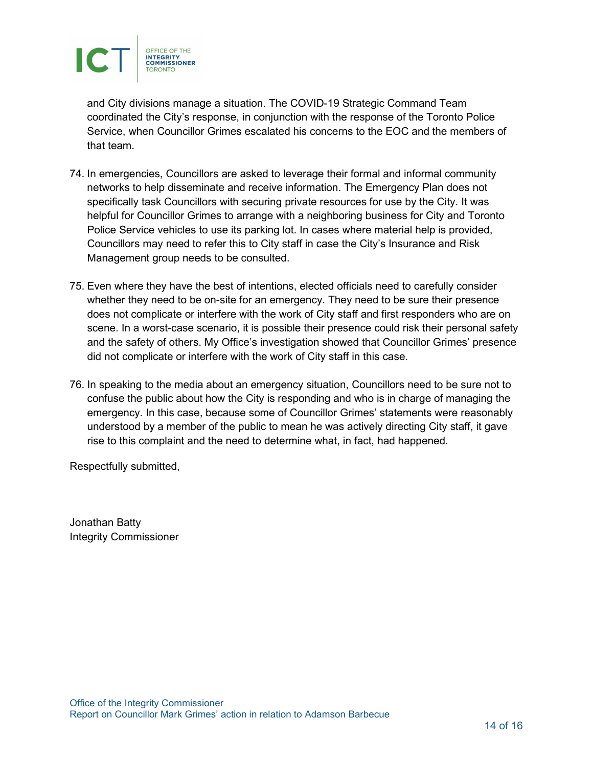

and City divisions manage a situation. The COVID-19 Strategic Command Team coordinated the City's response, in conjunction with the response of the Toronto Police Service, when Councillor Grimes escalated his concerns to the EOC and the members of that team.

- 74. In emergencies, Councillors are asked to leverage their formal and informal community networks to help disseminate and receive information. The Emergency Plan does not specifically task Councillors with securing private resources for use by the City. It was helpful for Councillor Grimes to arrange with a neighboring business for City and Toronto Police Service vehicles to use its parking lot. In cases where material help is provided, Councillors may need to refer this to City staff in case the City's Insurance and Risk Management group needs to be consulted.
- 75. Even where they have the best of intentions, elected officials need to carefully consider whether they need to be on-site for an emergency. They need to be sure their presence does not complicate or interfere with the work of City staff and first responders who are on scene. In a worst-case scenario, it is possible their presence could risk their personal safety and the safety of others. My Office's investigation showed that Councillor Grimes' presence did not complicate or interfere with the work of City staff in this case.
- 76. In speaking to the media about an emergency situation, Councillors need to be sure not to confuse the public about how the City is responding and who is in charge of managing the emergency. In this case, because some of Councillor Grimes' statements were reasonably understood by a member of the public to mean he was actively directing City staff, it gave rise to this complaint and the need to determine what, in fact, had happened.

Respectfully submitted,

Jonathan Batty Integrity Commissioner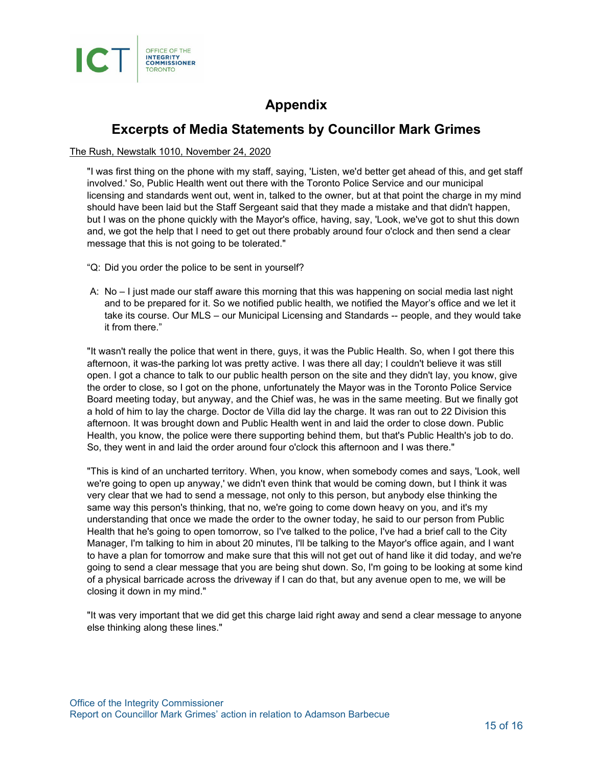

## **Appendix**

### **Excerpts of Media Statements by Councillor Mark Grimes**

#### The Rush, Newstalk 1010, November 24, 2020

"I was first thing on the phone with my staff, saying, 'Listen, we'd better get ahead of this, and get staff involved.' So, Public Health went out there with the Toronto Police Service and our municipal licensing and standards went out, went in, talked to the owner, but at that point the charge in my mind should have been laid but the Staff Sergeant said that they made a mistake and that didn't happen, but I was on the phone quickly with the Mayor's office, having, say, 'Look, we've got to shut this down and, we got the help that I need to get out there probably around four o'clock and then send a clear message that this is not going to be tolerated."

- "Q: Did you order the police to be sent in yourself?
- A: No I just made our staff aware this morning that this was happening on social media last night and to be prepared for it. So we notified public health, we notified the Mayor's office and we let it take its course. Our MLS – our Municipal Licensing and Standards -- people, and they would take it from there."

"It wasn't really the police that went in there, guys, it was the Public Health. So, when I got there this afternoon, it was-the parking lot was pretty active. I was there all day; I couldn't believe it was still open. I got a chance to talk to our public health person on the site and they didn't lay, you know, give the order to close, so I got on the phone, unfortunately the Mayor was in the Toronto Police Service Board meeting today, but anyway, and the Chief was, he was in the same meeting. But we finally got a hold of him to lay the charge. Doctor de Villa did lay the charge. It was ran out to 22 Division this afternoon. It was brought down and Public Health went in and laid the order to close down. Public Health, you know, the police were there supporting behind them, but that's Public Health's job to do. So, they went in and laid the order around four o'clock this afternoon and I was there."

"This is kind of an uncharted territory. When, you know, when somebody comes and says, 'Look, well we're going to open up anyway,' we didn't even think that would be coming down, but I think it was very clear that we had to send a message, not only to this person, but anybody else thinking the same way this person's thinking, that no, we're going to come down heavy on you, and it's my understanding that once we made the order to the owner today, he said to our person from Public Health that he's going to open tomorrow, so I've talked to the police, I've had a brief call to the City Manager, I'm talking to him in about 20 minutes, I'll be talking to the Mayor's office again, and I want to have a plan for tomorrow and make sure that this will not get out of hand like it did today, and we're going to send a clear message that you are being shut down. So, I'm going to be looking at some kind of a physical barricade across the driveway if I can do that, but any avenue open to me, we will be closing it down in my mind."

"It was very important that we did get this charge laid right away and send a clear message to anyone else thinking along these lines."